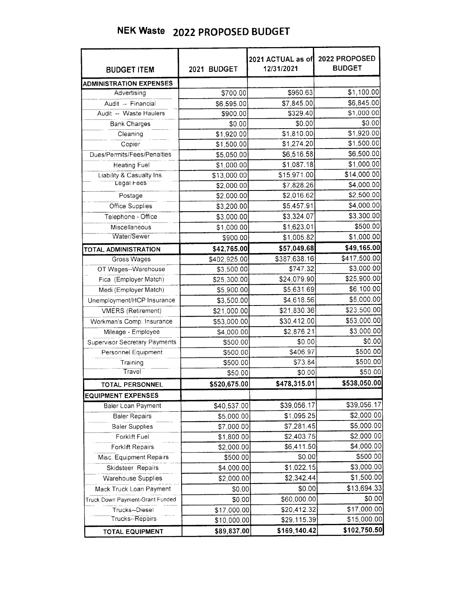| <b>BUDGET ITEM</b>                   | 2021 BUDGET  | 2021 ACTUAL as of<br>12/31/2021 | 2022 PROPOSED<br><b>BUDGET</b> |
|--------------------------------------|--------------|---------------------------------|--------------------------------|
| <b>ADMINISTRATION EXPENSES</b>       |              |                                 |                                |
| Advertising                          | \$700.00     | \$960.63                        | \$1,100.00                     |
| Audit -- Financial                   | \$6,595.00   | \$7,845.00                      | \$6,845.00                     |
| Audit -- Waste Haulers               | \$900.00     | \$329.40                        | \$1,000.00                     |
| <b>Bank Charges</b>                  | \$0.00       | \$0.00                          | \$0.00                         |
| Cleaning                             | \$1,920.00   | \$1,810.00                      | \$1,920.00                     |
| Copier                               | \$1,500.00   | \$1,274.20                      | \$1,500.00                     |
| Dues/Permits/Fees/Penalties          | \$5,050.00   | \$6,516.58                      | \$6,500.00                     |
| <b>Heating Fuel</b>                  | \$1,000.00   | \$1,087.18                      | \$1,000.00                     |
| Liability & Casualty Ins.            | \$13,000.00  | \$15,971.00                     | \$14,000.00                    |
| Legal Fees                           | \$2,000.00   | \$7,828.26                      | \$4,000.00                     |
| Postage                              | \$2,000.00   | \$2,016.62                      | \$2,500.00                     |
| <b>Office Supplies</b>               | \$3,200.00   | \$5,457.91                      | \$4,000.00                     |
| Telephone - Office                   | \$3,000.00   | \$3,324.07                      | \$3,300.00                     |
| Miscellaneous                        | \$1,000.00   | \$1,623.01                      | \$500.00                       |
| Water/Sewer                          | \$900.00     | \$1,005.82                      | \$1,000.00                     |
| <b>TOTAL ADMINISTRATION</b>          | \$42,765.00  | \$57,049.68                     | \$49,165.00                    |
| Gross Wages                          | \$402,925.00 | \$387,638.16                    | \$417,500.00                   |
| OT Wages--Warehouse                  | \$3,500.00   | \$747.32                        | \$3,000.00                     |
| Fica (Employer Match)                | \$25,300.00  | \$24,079.90                     | \$25,900.00                    |
| Medi (Employer Match)                | \$5,900.00   | \$5,631.69                      | \$6,100.00                     |
| Unemployment/HCP Insurance           | \$3,500.00   | \$4,618.56                      | \$5,000.00                     |
| <b>VMERS</b> (Retirement)            | \$21,000.00  | \$21,830.36                     | \$23,500.00                    |
| Workman's Comp. Insurance            | \$53,000.00  | \$30,412.00                     | \$53,000.00                    |
| Mileage - Employee                   | \$4,000.00   | \$2,876.21                      | \$3,000.00                     |
| <b>Supervisor Secretary Payments</b> | \$500.00     | \$0.00                          | \$0.00                         |
| Personnel Equipment                  | \$500.00     | \$406.97                        | \$500.00                       |
| Training                             | \$500.00     | \$73.84                         | \$500.00                       |
| Travel                               | \$50.00      | \$0.00                          | \$50.00                        |
| TOTAL PERSONNEL                      | \$520,675.00 | \$478,315.01                    | \$538,050.00                   |
| <b>EQUIPMENT EXPENSES</b>            |              |                                 |                                |
| Baler Loan Payment                   | \$40,537.00  | \$39,056.17                     | \$39,056.17                    |
| <b>Baler Repairs</b>                 | \$5,000.00   | \$1,095.25                      | \$2,000.00                     |
| <b>Baler Supplies</b>                | \$7,000.00   | \$7,281.45                      | \$5,000.00                     |
| Forklift Fuel                        | \$1,800.00   | \$2,403.75                      | \$2,000.00                     |
| <b>Forklift Repairs</b>              | \$2,000.00   | \$6,411.50                      | \$4,000.00                     |
| Misc. Equipment Repairs              | \$500.00     | \$0.00                          | \$500.00                       |
| Skidsteer Repairs                    | \$4,000.00   | \$1,022.15                      | \$3,000.00                     |
| <b>Warehouse Supplies</b>            | \$2,000.00   | \$2,342.44                      | \$1,500.00                     |
| Mack Truck Loan Payment              | \$0.00       | \$0.00                          | \$13,694.33                    |
| Truck Down Payment-Grant Funded      | \$0.00       | \$60,000.00                     | \$0.00                         |
| Trucks--Diesel                       | \$17,000.00  | \$20,412.32                     | \$17,000.00                    |
| Trucks--Repairs                      | \$10,000.00  | \$29,115.39                     | \$15,000.00                    |
| <b>TOTAL EQUIPMENT</b>               | \$89,837.00  | \$169,140.42                    | \$102,750.50                   |

## NEK Waste 2022 PROPOSED BUDGET